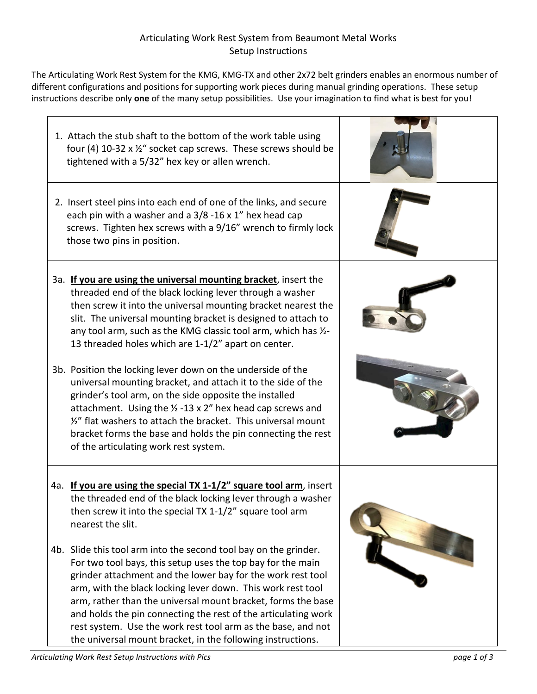## Articulating Work Rest System from Beaumont Metal Works Setup Instructions

The Articulating Work Rest System for the KMG, KMG-TX and other 2x72 belt grinders enables an enormous number of different configurations and positions for supporting work pieces during manual grinding operations. These setup instructions describe only **one** of the many setup possibilities. Use your imagination to find what is best for you!

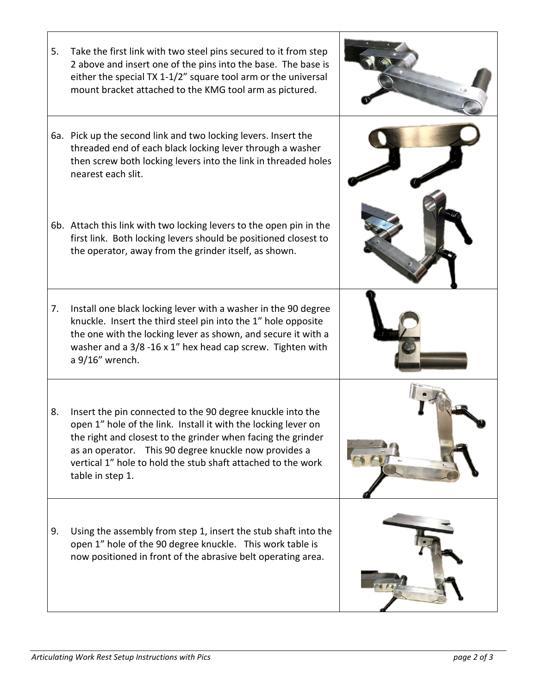